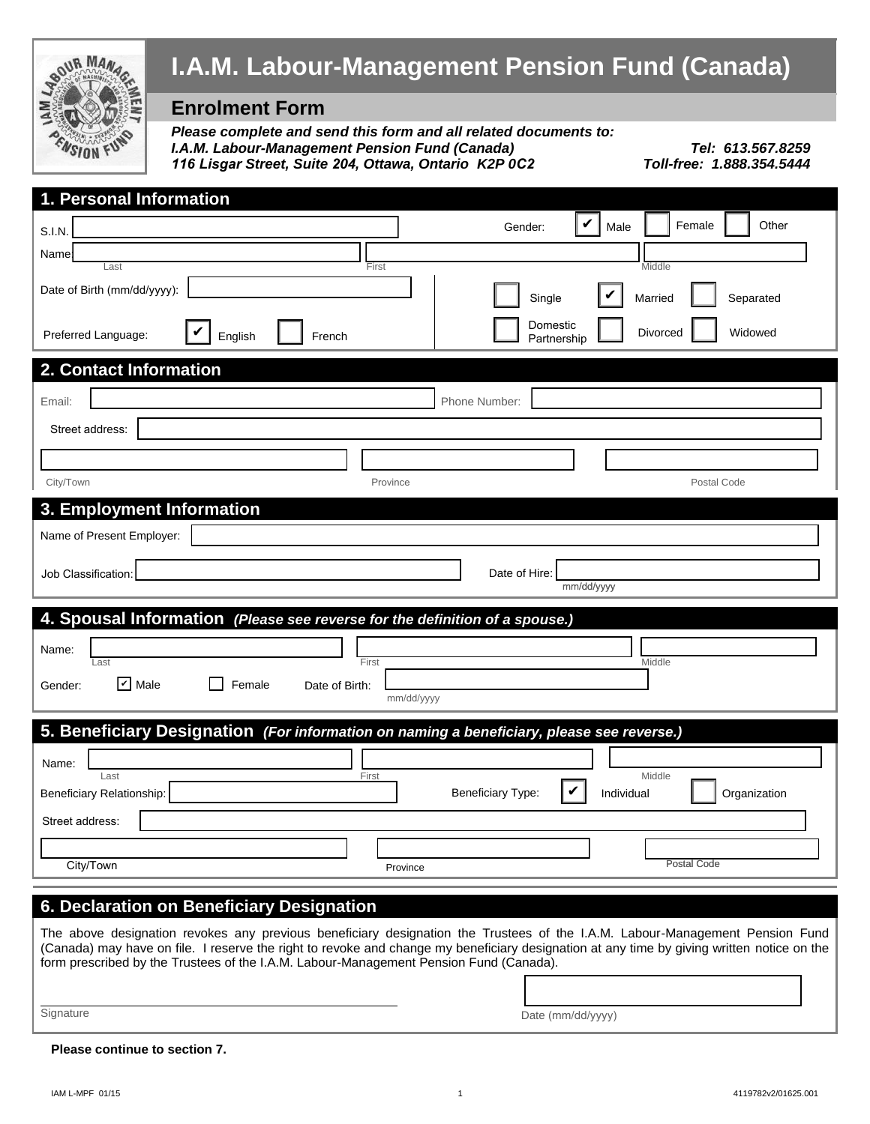

# **I.A.M. Labour-Management Pension Fund (Canada)**

## **Enrolment Form**

*Please complete and send this form and all related documents to: I.A.M. Labour-Management Pension Fund (Canada) 116 Lisgar Street, Suite 204, Ottawa, Ontario K2P 0C2 Toll-free: 1.888.354.5444*

*Tel: 613.567.8259*<br>*Toll-free: 1.888.354.5444* 

| 1. Personal Information                                                                                                                                                                                                              |
|--------------------------------------------------------------------------------------------------------------------------------------------------------------------------------------------------------------------------------------|
| V<br>Other<br>Female<br>Gender:<br>Male<br>S.I.N.                                                                                                                                                                                    |
| Name:                                                                                                                                                                                                                                |
| Last<br>Middle<br>First<br>Date of Birth (mm/dd/yyyy):<br>Single<br>Married<br>Separated                                                                                                                                             |
| Domestic<br>Divorced<br>Widowed<br>Preferred Language:<br>English<br>French<br>Partnership                                                                                                                                           |
| 2. Contact Information                                                                                                                                                                                                               |
| Phone Number:<br>Email:                                                                                                                                                                                                              |
| Street address:                                                                                                                                                                                                                      |
|                                                                                                                                                                                                                                      |
|                                                                                                                                                                                                                                      |
| City/Town<br>Postal Code<br>Province                                                                                                                                                                                                 |
| 3. Employment Information                                                                                                                                                                                                            |
| Name of Present Employer:                                                                                                                                                                                                            |
| Job Classification:<br>Date of Hire:                                                                                                                                                                                                 |
| mm/dd/yyyy                                                                                                                                                                                                                           |
|                                                                                                                                                                                                                                      |
| 4. Spousal Information (Please see reverse for the definition of a spouse.)                                                                                                                                                          |
|                                                                                                                                                                                                                                      |
| Name:<br>First<br>Middle<br>Last                                                                                                                                                                                                     |
| $\triangleright$ Male<br>Female<br>Date of Birth:<br>Gender:                                                                                                                                                                         |
| mm/dd/yyyy                                                                                                                                                                                                                           |
| 5. Beneficiary Designation (For information on naming a beneficiary, please see reverse.)                                                                                                                                            |
|                                                                                                                                                                                                                                      |
| Name:<br>Last<br>Middle<br>First                                                                                                                                                                                                     |
| Beneficiary Relationship:<br><b>Beneficiary Type:</b><br>Individual<br>Organization                                                                                                                                                  |
| Street address:                                                                                                                                                                                                                      |
|                                                                                                                                                                                                                                      |
| Postal Code<br>City/Town<br>Province                                                                                                                                                                                                 |
|                                                                                                                                                                                                                                      |
| 6. Declaration on Beneficiary Designation                                                                                                                                                                                            |
| The above designation revokes any previous beneficiary designation the Trustees of the I.A.M. Labour-Management Pension Fund                                                                                                         |
| (Canada) may have on file. I reserve the right to revoke and change my beneficiary designation at any time by giving written notice on the<br>form prescribed by the Trustees of the I.A.M. Labour-Management Pension Fund (Canada). |

**Signature** 

Date (mm/dd/yyyy)

**Please continue to section 7.**